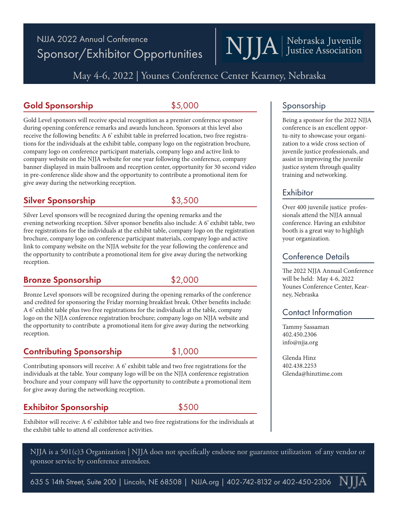## NJJA 2022 Annual Conference Sponsor/Exhibitor Opportunities

May 4-6, 2022 | Younes Conference Center Kearney, Nebraska

#### Gold Sponsorship  $$5,000$

Gold Level sponsors will receive special recognition as a premier conference sponsor during opening conference remarks and awards luncheon. Sponsors at this level also receive the following benefits: A 6' exhibit table in preferred location, two free registrations for the individuals at the exhibit table, company logo on the registration brochure, company logo on conference participant materials, company logo and active link to company website on the NJJA website for one year following the conference, company banner displayed in main ballroom and reception center, opportunity for 30 second video in pre-conference slide show and the opportunity to contribute a promotional item for give away during the networking reception.

#### Silver Sponsorship  $$3,500$

Silver Level sponsors will be recognized during the opening remarks and the evening networking reception. Silver sponsor benefits also include: A 6' exhibit table, two free registrations for the individuals at the exhibit table, company logo on the registration brochure, company logo on conference participant materials, company logo and active link to company website on the NJJA website for the year following the conference and the opportunity to contribute a promotional item for give away during the networking reception.

#### Bronze Sponsorship  $$2,000$

Bronze Level sponsors will be recognized during the opening remarks of the conference and credited for sponsoring the Friday morning breakfast break. Other benefits include: A 6' exhibit table plus two free registrations for the individuals at the table, company logo on the NJJA conference registration brochure; company logo on NJJA website and the opportunity to contribute a promotional item for give away during the networking reception.

#### Contributing Sponsorship \$1,000

Contributing sponsors will receive: A 6' exhibit table and two free registrations for the individuals at the table. Your company logo will be on the NJJA conference registration brochure and your company will have the opportunity to contribute a promotional item for give away during the networking reception.

#### **Exhibitor Sponsorship**  $$500$

Exhibitor will receive: A 6' exhibitor table and two free registrations for the individuals at the exhibit table to attend all conference activities.

NJJA is a 501(c)3 Organization | NJJA does not specifically endorse nor guarantee utilization of any vendor or sponsor service by conference attendees.

635 S 14th Street, Suite 200 | Lincoln, NE 68508 | NJJA.org | 402-742-8132 or 402-450-2306

#### Sponsorship

NJJA | Nebraska Juvenile

Being a sponsor for the 2022 NJJA conference is an excellent opportu-nity to showcase your organization to a wide cross section of juvenile justice professionals, and assist in improving the juvenile justice system through quality training and networking.

#### Exhibitor

Over 400 juvenile justice professionals attend the NJJA annual conference. Having an exhibitor booth is a great way to highligh your organization.

#### Conference Details

The 2022 NJJA Annual Conference will be held: May 4-6, 2022 Younes Conference Center, Kearney, Nebraska

#### Contact Information

Tammy Sassaman 402.450.2306 info@njja.org

Glenda Hinz 402.438.2253 Glenda@hinztime.com